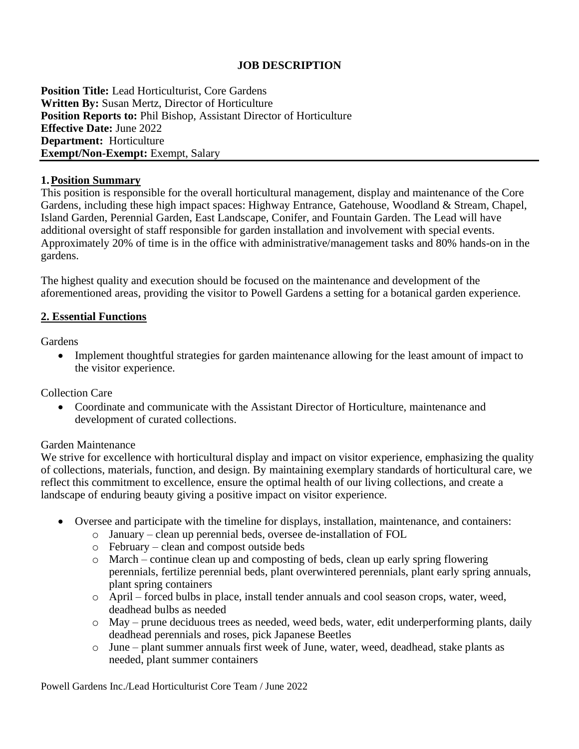## **JOB DESCRIPTION**

**Position Title:** Lead Horticulturist, Core Gardens **Written By:** Susan Mertz, Director of Horticulture **Position Reports to:** Phil Bishop, Assistant Director of Horticulture **Effective Date:** June 2022 **Department:** Horticulture **Exempt/Non-Exempt:** Exempt, Salary

#### **1.Position Summary**

This position is responsible for the overall horticultural management, display and maintenance of the Core Gardens, including these high impact spaces: Highway Entrance, Gatehouse, Woodland & Stream, Chapel, Island Garden, Perennial Garden, East Landscape, Conifer, and Fountain Garden. The Lead will have additional oversight of staff responsible for garden installation and involvement with special events. Approximately 20% of time is in the office with administrative/management tasks and 80% hands-on in the gardens.

The highest quality and execution should be focused on the maintenance and development of the aforementioned areas, providing the visitor to Powell Gardens a setting for a botanical garden experience.

#### **2. Essential Functions**

**Gardens** 

• Implement thoughtful strategies for garden maintenance allowing for the least amount of impact to the visitor experience.

Collection Care

• Coordinate and communicate with the Assistant Director of Horticulture, maintenance and development of curated collections.

#### Garden Maintenance

We strive for excellence with horticultural display and impact on visitor experience, emphasizing the quality of collections, materials, function, and design. By maintaining exemplary standards of horticultural care, we reflect this commitment to excellence, ensure the optimal health of our living collections, and create a landscape of enduring beauty giving a positive impact on visitor experience.

- Oversee and participate with the timeline for displays, installation, maintenance, and containers:
	- o January clean up perennial beds, oversee de-installation of FOL
	- o February clean and compost outside beds
	- o March continue clean up and composting of beds, clean up early spring flowering perennials, fertilize perennial beds, plant overwintered perennials, plant early spring annuals, plant spring containers
	- o April forced bulbs in place, install tender annuals and cool season crops, water, weed, deadhead bulbs as needed
	- o May prune deciduous trees as needed, weed beds, water, edit underperforming plants, daily deadhead perennials and roses, pick Japanese Beetles
	- o June plant summer annuals first week of June, water, weed, deadhead, stake plants as needed, plant summer containers

Powell Gardens Inc./Lead Horticulturist Core Team / June 2022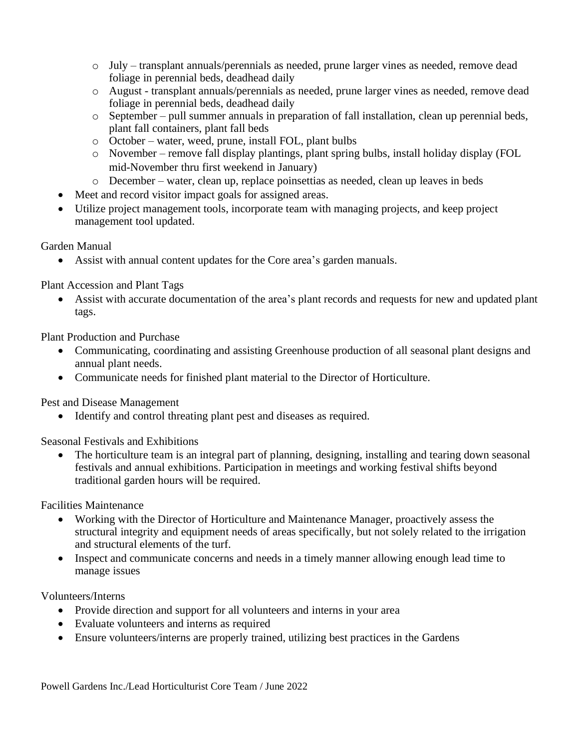- o July transplant annuals/perennials as needed, prune larger vines as needed, remove dead foliage in perennial beds, deadhead daily
- o August transplant annuals/perennials as needed, prune larger vines as needed, remove dead foliage in perennial beds, deadhead daily
- o September pull summer annuals in preparation of fall installation, clean up perennial beds, plant fall containers, plant fall beds
- o October water, weed, prune, install FOL, plant bulbs
- o November remove fall display plantings, plant spring bulbs, install holiday display (FOL mid-November thru first weekend in January)
- o December water, clean up, replace poinsettias as needed, clean up leaves in beds
- Meet and record visitor impact goals for assigned areas.
- Utilize project management tools, incorporate team with managing projects, and keep project management tool updated.

# Garden Manual

• Assist with annual content updates for the Core area's garden manuals.

# Plant Accession and Plant Tags

• Assist with accurate documentation of the area's plant records and requests for new and updated plant tags.

Plant Production and Purchase

- Communicating, coordinating and assisting Greenhouse production of all seasonal plant designs and annual plant needs.
- Communicate needs for finished plant material to the Director of Horticulture.

Pest and Disease Management

• Identify and control threating plant pest and diseases as required.

Seasonal Festivals and Exhibitions

• The horticulture team is an integral part of planning, designing, installing and tearing down seasonal festivals and annual exhibitions. Participation in meetings and working festival shifts beyond traditional garden hours will be required.

Facilities Maintenance

- Working with the Director of Horticulture and Maintenance Manager, proactively assess the structural integrity and equipment needs of areas specifically, but not solely related to the irrigation and structural elements of the turf.
- Inspect and communicate concerns and needs in a timely manner allowing enough lead time to manage issues

Volunteers/Interns

- Provide direction and support for all volunteers and interns in your area
- Evaluate volunteers and interns as required
- Ensure volunteers/interns are properly trained, utilizing best practices in the Gardens

Powell Gardens Inc./Lead Horticulturist Core Team / June 2022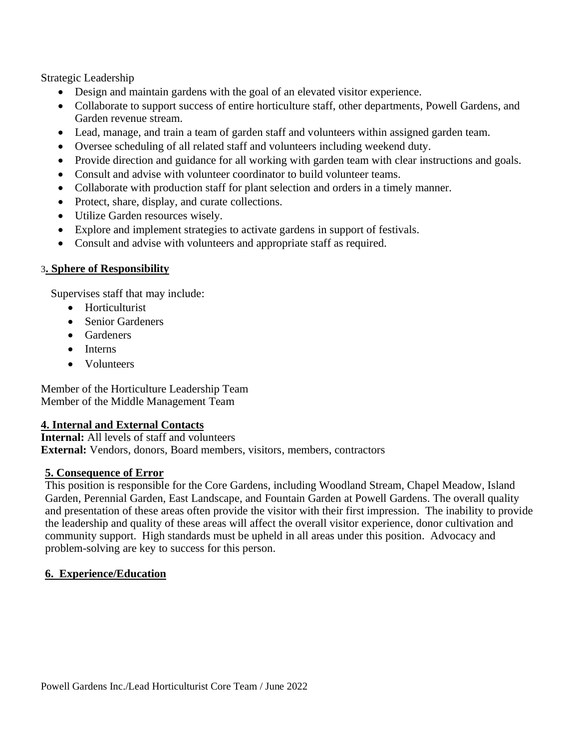Strategic Leadership

- Design and maintain gardens with the goal of an elevated visitor experience.
- Collaborate to support success of entire horticulture staff, other departments, Powell Gardens, and Garden revenue stream.
- Lead, manage, and train a team of garden staff and volunteers within assigned garden team.
- Oversee scheduling of all related staff and volunteers including weekend duty.
- Provide direction and guidance for all working with garden team with clear instructions and goals.
- Consult and advise with volunteer coordinator to build volunteer teams.
- Collaborate with production staff for plant selection and orders in a timely manner.
- Protect, share, display, and curate collections.
- Utilize Garden resources wisely.
- Explore and implement strategies to activate gardens in support of festivals.
- Consult and advise with volunteers and appropriate staff as required.

## 3**. Sphere of Responsibility**

Supervises staff that may include:

- Horticulturist
- Senior Gardeners
- Gardeners
- Interns
- Volunteers

Member of the Horticulture Leadership Team Member of the Middle Management Team

## **4. Internal and External Contacts**

**Internal:** All levels of staff and volunteers **External:** Vendors, donors, Board members, visitors, members, contractors

## **5. Consequence of Error**

This position is responsible for the Core Gardens, including Woodland Stream, Chapel Meadow, Island Garden, Perennial Garden, East Landscape, and Fountain Garden at Powell Gardens. The overall quality and presentation of these areas often provide the visitor with their first impression. The inability to provide the leadership and quality of these areas will affect the overall visitor experience, donor cultivation and community support. High standards must be upheld in all areas under this position. Advocacy and problem-solving are key to success for this person.

## **6. Experience/Education**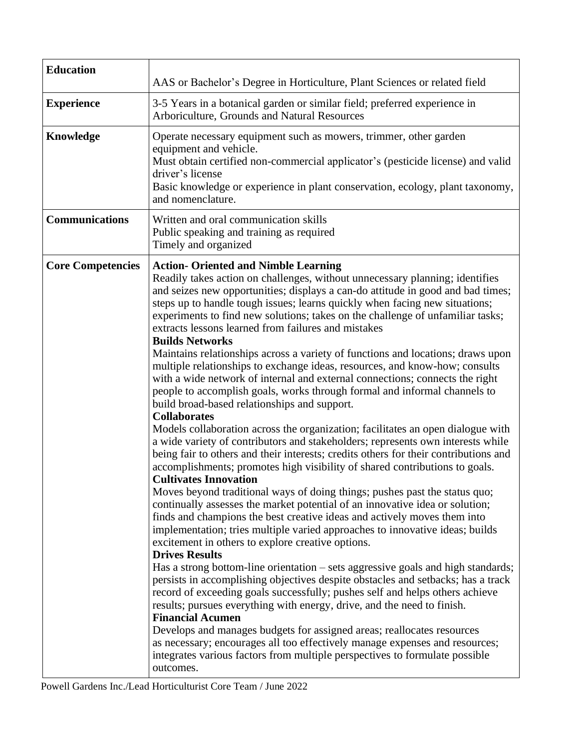| <b>Education</b>         |                                                                                                                                                                                                                                                                                                                                                                                                                                                                                                                                                                                                                                                                                                                                                                                                                                                                                                                                                                                                                                                                                                                                                                                                                                                                                                                                                                                                                                                                                                                                                                                                                                                                                                                                                                                                                                                                                                                                                                                                                                                                                                                                                                                                                                                                                |
|--------------------------|--------------------------------------------------------------------------------------------------------------------------------------------------------------------------------------------------------------------------------------------------------------------------------------------------------------------------------------------------------------------------------------------------------------------------------------------------------------------------------------------------------------------------------------------------------------------------------------------------------------------------------------------------------------------------------------------------------------------------------------------------------------------------------------------------------------------------------------------------------------------------------------------------------------------------------------------------------------------------------------------------------------------------------------------------------------------------------------------------------------------------------------------------------------------------------------------------------------------------------------------------------------------------------------------------------------------------------------------------------------------------------------------------------------------------------------------------------------------------------------------------------------------------------------------------------------------------------------------------------------------------------------------------------------------------------------------------------------------------------------------------------------------------------------------------------------------------------------------------------------------------------------------------------------------------------------------------------------------------------------------------------------------------------------------------------------------------------------------------------------------------------------------------------------------------------------------------------------------------------------------------------------------------------|
|                          | AAS or Bachelor's Degree in Horticulture, Plant Sciences or related field                                                                                                                                                                                                                                                                                                                                                                                                                                                                                                                                                                                                                                                                                                                                                                                                                                                                                                                                                                                                                                                                                                                                                                                                                                                                                                                                                                                                                                                                                                                                                                                                                                                                                                                                                                                                                                                                                                                                                                                                                                                                                                                                                                                                      |
| <b>Experience</b>        | 3-5 Years in a botanical garden or similar field; preferred experience in<br>Arboriculture, Grounds and Natural Resources                                                                                                                                                                                                                                                                                                                                                                                                                                                                                                                                                                                                                                                                                                                                                                                                                                                                                                                                                                                                                                                                                                                                                                                                                                                                                                                                                                                                                                                                                                                                                                                                                                                                                                                                                                                                                                                                                                                                                                                                                                                                                                                                                      |
| Knowledge                | Operate necessary equipment such as mowers, trimmer, other garden<br>equipment and vehicle.<br>Must obtain certified non-commercial applicator's (pesticide license) and valid<br>driver's license<br>Basic knowledge or experience in plant conservation, ecology, plant taxonomy,<br>and nomenclature.                                                                                                                                                                                                                                                                                                                                                                                                                                                                                                                                                                                                                                                                                                                                                                                                                                                                                                                                                                                                                                                                                                                                                                                                                                                                                                                                                                                                                                                                                                                                                                                                                                                                                                                                                                                                                                                                                                                                                                       |
| <b>Communications</b>    | Written and oral communication skills<br>Public speaking and training as required<br>Timely and organized                                                                                                                                                                                                                                                                                                                                                                                                                                                                                                                                                                                                                                                                                                                                                                                                                                                                                                                                                                                                                                                                                                                                                                                                                                                                                                                                                                                                                                                                                                                                                                                                                                                                                                                                                                                                                                                                                                                                                                                                                                                                                                                                                                      |
| <b>Core Competencies</b> | <b>Action- Oriented and Nimble Learning</b><br>Readily takes action on challenges, without unnecessary planning; identifies<br>and seizes new opportunities; displays a can-do attitude in good and bad times;<br>steps up to handle tough issues; learns quickly when facing new situations;<br>experiments to find new solutions; takes on the challenge of unfamiliar tasks;<br>extracts lessons learned from failures and mistakes<br><b>Builds Networks</b><br>Maintains relationships across a variety of functions and locations; draws upon<br>multiple relationships to exchange ideas, resources, and know-how; consults<br>with a wide network of internal and external connections; connects the right<br>people to accomplish goals, works through formal and informal channels to<br>build broad-based relationships and support.<br><b>Collaborates</b><br>Models collaboration across the organization; facilitates an open dialogue with<br>a wide variety of contributors and stakeholders; represents own interests while<br>being fair to others and their interests; credits others for their contributions and<br>accomplishments; promotes high visibility of shared contributions to goals.<br><b>Cultivates Innovation</b><br>Moves beyond traditional ways of doing things; pushes past the status quo;<br>continually assesses the market potential of an innovative idea or solution;<br>finds and champions the best creative ideas and actively moves them into<br>implementation; tries multiple varied approaches to innovative ideas; builds<br>excitement in others to explore creative options.<br><b>Drives Results</b><br>Has a strong bottom-line orientation – sets aggressive goals and high standards;<br>persists in accomplishing objectives despite obstacles and setbacks; has a track<br>record of exceeding goals successfully; pushes self and helps others achieve<br>results; pursues everything with energy, drive, and the need to finish.<br><b>Financial Acumen</b><br>Develops and manages budgets for assigned areas; reallocates resources<br>as necessary; encourages all too effectively manage expenses and resources;<br>integrates various factors from multiple perspectives to formulate possible<br>outcomes. |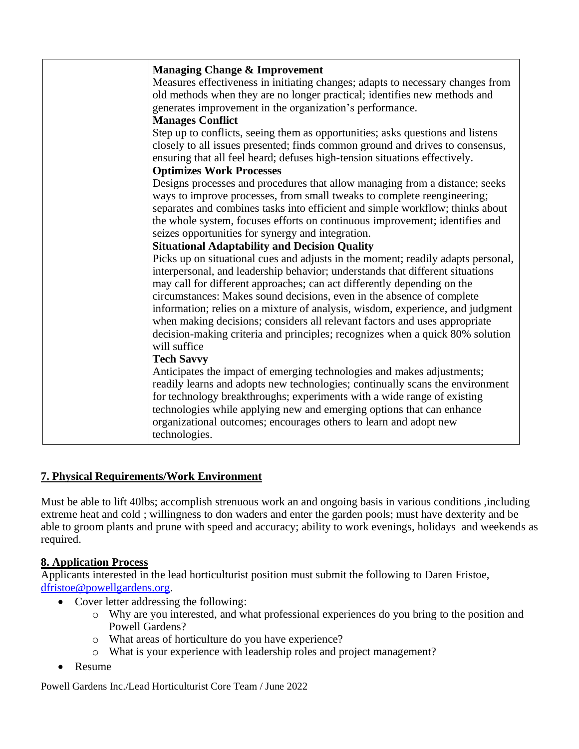| <b>Managing Change &amp; Improvement</b>                                         |
|----------------------------------------------------------------------------------|
| Measures effectiveness in initiating changes; adapts to necessary changes from   |
| old methods when they are no longer practical; identifies new methods and        |
| generates improvement in the organization's performance.                         |
| <b>Manages Conflict</b>                                                          |
| Step up to conflicts, seeing them as opportunities; asks questions and listens   |
| closely to all issues presented; finds common ground and drives to consensus,    |
| ensuring that all feel heard; defuses high-tension situations effectively.       |
| <b>Optimizes Work Processes</b>                                                  |
| Designs processes and procedures that allow managing from a distance; seeks      |
| ways to improve processes, from small tweaks to complete reengineering;          |
| separates and combines tasks into efficient and simple workflow; thinks about    |
| the whole system, focuses efforts on continuous improvement; identifies and      |
| seizes opportunities for synergy and integration.                                |
| <b>Situational Adaptability and Decision Quality</b>                             |
| Picks up on situational cues and adjusts in the moment; readily adapts personal, |
| interpersonal, and leadership behavior; understands that different situations    |
| may call for different approaches; can act differently depending on the          |
| circumstances: Makes sound decisions, even in the absence of complete            |
| information; relies on a mixture of analysis, wisdom, experience, and judgment   |
| when making decisions; considers all relevant factors and uses appropriate       |
| decision-making criteria and principles; recognizes when a quick 80% solution    |
| will suffice                                                                     |
| <b>Tech Savvy</b>                                                                |
| Anticipates the impact of emerging technologies and makes adjustments;           |
| readily learns and adopts new technologies; continually scans the environment    |
| for technology breakthroughs; experiments with a wide range of existing          |
| technologies while applying new and emerging options that can enhance            |
| organizational outcomes; encourages others to learn and adopt new                |
| technologies.                                                                    |

# **7. Physical Requirements/Work Environment**

Must be able to lift 40lbs; accomplish strenuous work an and ongoing basis in various conditions ,including extreme heat and cold ; willingness to don waders and enter the garden pools; must have dexterity and be able to groom plants and prune with speed and accuracy; ability to work evenings, holidays and weekends as required.

## **8. Application Process**

Applicants interested in the lead horticulturist position must submit the following to Daren Fristoe, [dfristoe@powellgardens.org.](mailto:dfristoe@powellgardens.org)

- Cover letter addressing the following:
	- o Why are you interested, and what professional experiences do you bring to the position and Powell Gardens?
	- o What areas of horticulture do you have experience?
	- o What is your experience with leadership roles and project management?
- Resume

Powell Gardens Inc./Lead Horticulturist Core Team / June 2022